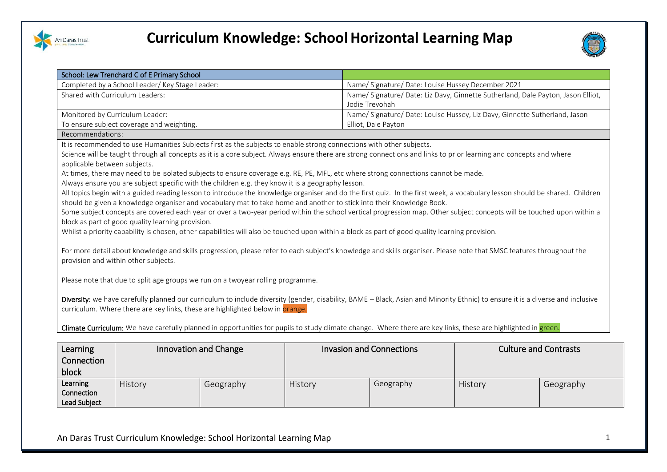

Lead Subject



|                                                                                                                                                               | School: Lew Trenchard C of E Primary School                                                                          |           |         |                                                                                                                                                                                |         |                              |  |  |
|---------------------------------------------------------------------------------------------------------------------------------------------------------------|----------------------------------------------------------------------------------------------------------------------|-----------|---------|--------------------------------------------------------------------------------------------------------------------------------------------------------------------------------|---------|------------------------------|--|--|
|                                                                                                                                                               | Completed by a School Leader/ Key Stage Leader:                                                                      |           |         | Name/ Signature/ Date: Louise Hussey December 2021                                                                                                                             |         |                              |  |  |
| Shared with Curriculum Leaders:                                                                                                                               |                                                                                                                      |           |         | Name/ Signature/ Date: Liz Davy, Ginnette Sutherland, Dale Payton, Jason Elliot,                                                                                               |         |                              |  |  |
|                                                                                                                                                               |                                                                                                                      |           |         | Jodie Trevohah                                                                                                                                                                 |         |                              |  |  |
|                                                                                                                                                               | Name/ Signature/ Date: Louise Hussey, Liz Davy, Ginnette Sutherland, Jason<br>Monitored by Curriculum Leader:        |           |         |                                                                                                                                                                                |         |                              |  |  |
|                                                                                                                                                               | To ensure subject coverage and weighting.                                                                            |           |         | Elliot, Dale Payton                                                                                                                                                            |         |                              |  |  |
| Recommendations:                                                                                                                                              |                                                                                                                      |           |         |                                                                                                                                                                                |         |                              |  |  |
|                                                                                                                                                               | It is recommended to use Humanities Subjects first as the subjects to enable strong connections with other subjects. |           |         |                                                                                                                                                                                |         |                              |  |  |
|                                                                                                                                                               |                                                                                                                      |           |         | Science will be taught through all concepts as it is a core subject. Always ensure there are strong connections and links to prior learning and concepts and where             |         |                              |  |  |
| applicable between subjects.                                                                                                                                  |                                                                                                                      |           |         |                                                                                                                                                                                |         |                              |  |  |
|                                                                                                                                                               |                                                                                                                      |           |         | At times, there may need to be isolated subjects to ensure coverage e.g. RE, PE, MFL, etc where strong connections cannot be made.                                             |         |                              |  |  |
|                                                                                                                                                               | Always ensure you are subject specific with the children e.g. they know it is a geography lesson.                    |           |         |                                                                                                                                                                                |         |                              |  |  |
|                                                                                                                                                               |                                                                                                                      |           |         | All topics begin with a guided reading lesson to introduce the knowledge organiser and do the first quiz. In the first week, a vocabulary lesson should be shared. Children    |         |                              |  |  |
|                                                                                                                                                               |                                                                                                                      |           |         | should be given a knowledge organiser and vocabulary mat to take home and another to stick into their Knowledge Book.                                                          |         |                              |  |  |
|                                                                                                                                                               |                                                                                                                      |           |         | Some subject concepts are covered each year or over a two-year period within the school vertical progression map. Other subject concepts will be touched upon within a         |         |                              |  |  |
|                                                                                                                                                               | block as part of good quality learning provision.                                                                    |           |         |                                                                                                                                                                                |         |                              |  |  |
|                                                                                                                                                               |                                                                                                                      |           |         | Whilst a priority capability is chosen, other capabilities will also be touched upon within a block as part of good quality learning provision.                                |         |                              |  |  |
|                                                                                                                                                               |                                                                                                                      |           |         |                                                                                                                                                                                |         |                              |  |  |
|                                                                                                                                                               |                                                                                                                      |           |         | For more detail about knowledge and skills progression, please refer to each subject's knowledge and skills organiser. Please note that SMSC features throughout the           |         |                              |  |  |
|                                                                                                                                                               | provision and within other subjects.                                                                                 |           |         |                                                                                                                                                                                |         |                              |  |  |
|                                                                                                                                                               |                                                                                                                      |           |         |                                                                                                                                                                                |         |                              |  |  |
|                                                                                                                                                               | Please note that due to split age groups we run on a twoyear rolling programme.                                      |           |         |                                                                                                                                                                                |         |                              |  |  |
|                                                                                                                                                               |                                                                                                                      |           |         |                                                                                                                                                                                |         |                              |  |  |
|                                                                                                                                                               |                                                                                                                      |           |         | Diversity: we have carefully planned our curriculum to include diversity (gender, disability, BAME - Black, Asian and Minority Ethnic) to ensure it is a diverse and inclusive |         |                              |  |  |
|                                                                                                                                                               | curriculum. Where there are key links, these are highlighted below in orange.                                        |           |         |                                                                                                                                                                                |         |                              |  |  |
| Climate Curriculum: We have carefully planned in opportunities for pupils to study climate change. Where there are key links, these are highlighted in green. |                                                                                                                      |           |         |                                                                                                                                                                                |         |                              |  |  |
|                                                                                                                                                               |                                                                                                                      |           |         |                                                                                                                                                                                |         |                              |  |  |
|                                                                                                                                                               |                                                                                                                      |           |         |                                                                                                                                                                                |         |                              |  |  |
| Learning                                                                                                                                                      | Innovation and Change                                                                                                |           |         | <b>Invasion and Connections</b>                                                                                                                                                |         | <b>Culture and Contrasts</b> |  |  |
| Connection                                                                                                                                                    |                                                                                                                      |           |         |                                                                                                                                                                                |         |                              |  |  |
| block                                                                                                                                                         |                                                                                                                      |           |         |                                                                                                                                                                                |         |                              |  |  |
| Learning                                                                                                                                                      | History                                                                                                              | Geography | History | Geography                                                                                                                                                                      | History | Geography                    |  |  |
| Connection                                                                                                                                                    |                                                                                                                      |           |         |                                                                                                                                                                                |         |                              |  |  |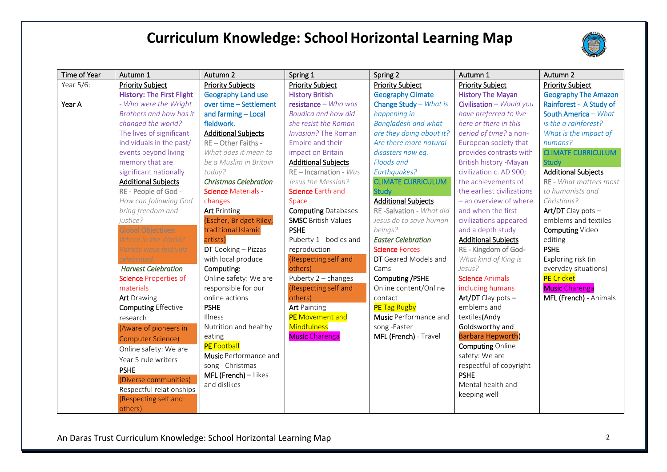

| Time of Year | Autumn 1                         | Autumn 2                     | Spring 1                   | Spring 2                   | Autumn 1                   | Autumn 2                    |
|--------------|----------------------------------|------------------------------|----------------------------|----------------------------|----------------------------|-----------------------------|
| Year 5/6:    | <b>Priority Subject</b>          | <b>Priority Subjects</b>     | <b>Priority Subject</b>    | <b>Priority Subject</b>    | <b>Priority Subject</b>    | <b>Priority Subject</b>     |
|              | <b>History: The First Flight</b> | <b>Geography Land use</b>    | <b>History British</b>     | <b>Geography Climate</b>   | <b>History The Mayan</b>   | <b>Geography The Amazon</b> |
| Year A       | - Who were the Wright            | over time - Settlement       | $resistance - Who was$     | Change Study - What is     | Civilisation - Would you   | Rainforest - A Study of     |
|              | Brothers and how has it          | and farming - Local          | <b>Boudica and how did</b> | happening in               | have preferred to live     | South America - What        |
|              | changed the world?               | fieldwork.                   | she resist the Roman       | <b>Bangladesh and what</b> | here or there in this      | is the a rainforest?        |
|              | The lives of significant         | <b>Additional Subjects</b>   | Invasion? The Roman        | are they doing about it?   | period of time? a non-     | What is the impact of       |
|              | individuals in the past/         | RE-Other Faiths -            | Empire and their           | Are there more natural     | European society that      | humans?                     |
|              | events beyond living             | What does it mean to         | impact on Britain          | disasters now eg.          | provides contrasts with    | <b>CLIMATE CURRICULUM</b>   |
|              | memory that are                  | be a Muslim in Britain       | <b>Additional Subjects</b> | Floods and                 | British history - Mayan    | <b>Study</b>                |
|              | significant nationally           | today?                       | $RE$ – Incarnation - $Was$ | Earthquakes?               | civilization c. AD 900;    | <b>Additional Subjects</b>  |
|              | <b>Additional Subjects</b>       | <b>Christmas Celebration</b> | Jesus the Messiah?         | <b>CLIMATE CURRICULUM</b>  | the achievements of        | RE - What matters most      |
|              | RE - People of God -             | <b>Science Materials -</b>   | Science Earth and          | <b>Study</b>               | the earliest civilizations | to humanists and            |
|              | How can following God            | changes                      | Space                      | <b>Additional Subjects</b> | - an overview of where     | Christians?                 |
|              | bring freedom and                | <b>Art</b> Printing          | <b>Computing Databases</b> | RE-Salvation - What did    | and when the first         | Art/DT Clay pots -          |
|              | justice?                         | (Escher, Bridget Riley,      | <b>SMSC British Values</b> | Jesus do to save human     | civilizations appeared     | emblems and textiles        |
|              | <b>Global Objectives:</b>        | traditional Islamic          | <b>PSHE</b>                | beings?                    | and a depth study          | Computing Video             |
|              | Where in the World?              | artists)                     | Puberty 1 - bodies and     | <b>Easter Celebration</b>  | <b>Additional Subjects</b> | editing                     |
|              | Variety ways festivals           | DT Cooking - Pizzas          | reproduction               | <b>Science Forces</b>      | RE - Kingdom of God-       | <b>PSHE</b>                 |
|              |                                  | with local produce           | (Respecting self and       | DT Geared Models and       | What kind of King is       | Exploring risk (in          |
|              | <b>Harvest Celebration</b>       | Computing:                   | others)                    | Cams                       | Jesus?                     | everyday situations)        |
|              | <b>Science Properties of</b>     | Online safety: We are        | Puberty 2 - changes        | Computing / PSHE           | <b>Science Animals</b>     | <b>PE</b> Cricket           |
|              | materials                        | responsible for our          | (Respecting self and       | Online content/Online      | including humans           | <b>Music Charenga</b>       |
|              | <b>Art</b> Drawing               | online actions               | others)                    | contact                    | Art/DT Clay pots $-$       | MFL (French) - Animals      |
|              | <b>Computing Effective</b>       | <b>PSHE</b>                  | <b>Art</b> Painting        | <b>PE</b> Tag Rugby        | emblems and                |                             |
|              | research                         | <b>Illness</b>               | PE Movement and            | Music Performance and      | textiles(Andy              |                             |
|              | (Aware of pioneers in            | Nutrition and healthy        | <b>Mindfulness</b>         | song-Easter                | Goldsworthy and            |                             |
|              | <b>Computer Science)</b>         | eating                       | <b>Music Charenga</b>      | MFL (French) - Travel      | <b>Barbara Hepworth)</b>   |                             |
|              | Online safety: We are            | <b>PE</b> Football           |                            |                            | <b>Computing Online</b>    |                             |
|              | Year 5 rule writers              | <b>Music</b> Performance and |                            |                            | safety: We are             |                             |
|              | <b>PSHE</b>                      | song - Christmas             |                            |                            | respectful of copyright    |                             |
|              | (Diverse communities)            | $MFL$ (French) – Likes       |                            |                            | <b>PSHE</b>                |                             |
|              | Respectful relationships         | and dislikes                 |                            |                            | Mental health and          |                             |
|              | (Respecting self and             |                              |                            |                            | keeping well               |                             |
|              | others)                          |                              |                            |                            |                            |                             |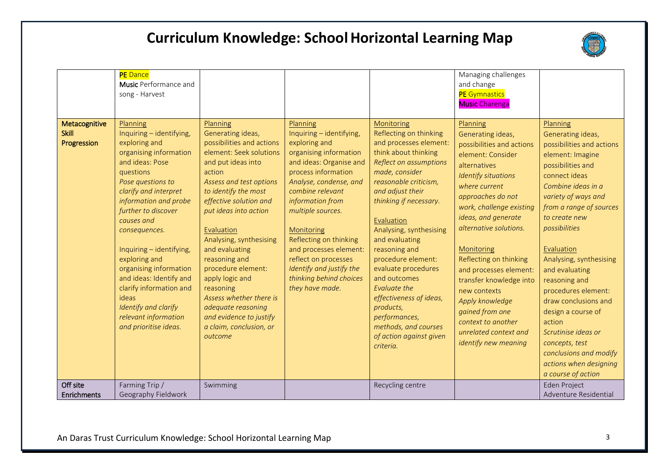

|                                              | <b>PE</b> Dance<br>Music Performance and<br>song - Harvest                                                                                                                                                                                                                                                                                                                                                                                                  |                                                                                                                                                                                                                                                                                                                                                                                                                                                                                 |                                                                                                                                                                                                                                                                                                                                                                                              |                                                                                                                                                                                                                                                                                                                                                                                                                                                                                             | Managing challenges<br>and change<br><b>PE</b> Gymnastics<br><b>Music</b> Charenga                                                                                                                                                                                                                                                                                                                                                                                         |                                                                                                                                                                                                                                                                                                                                                                                                                                                                                                              |
|----------------------------------------------|-------------------------------------------------------------------------------------------------------------------------------------------------------------------------------------------------------------------------------------------------------------------------------------------------------------------------------------------------------------------------------------------------------------------------------------------------------------|---------------------------------------------------------------------------------------------------------------------------------------------------------------------------------------------------------------------------------------------------------------------------------------------------------------------------------------------------------------------------------------------------------------------------------------------------------------------------------|----------------------------------------------------------------------------------------------------------------------------------------------------------------------------------------------------------------------------------------------------------------------------------------------------------------------------------------------------------------------------------------------|---------------------------------------------------------------------------------------------------------------------------------------------------------------------------------------------------------------------------------------------------------------------------------------------------------------------------------------------------------------------------------------------------------------------------------------------------------------------------------------------|----------------------------------------------------------------------------------------------------------------------------------------------------------------------------------------------------------------------------------------------------------------------------------------------------------------------------------------------------------------------------------------------------------------------------------------------------------------------------|--------------------------------------------------------------------------------------------------------------------------------------------------------------------------------------------------------------------------------------------------------------------------------------------------------------------------------------------------------------------------------------------------------------------------------------------------------------------------------------------------------------|
| Metacognitive<br><b>Skill</b><br>Progression | Planning<br>Inquiring - identifying,<br>exploring and<br>organising information<br>and ideas: Pose<br>questions<br>Pose questions to<br>clarify and interpret<br>information and probe<br>further to discover<br>causes and<br>consequences.<br>Inquiring - identifying,<br>exploring and<br>organising information<br>and ideas: Identify and<br>clarify information and<br>ideas<br>Identify and clarify<br>relevant information<br>and prioritise ideas. | Planning<br>Generating ideas,<br>possibilities and actions<br>element: Seek solutions<br>and put ideas into<br>action<br>Assess and test options<br>to identify the most<br>effective solution and<br>put ideas into action<br>Evaluation<br>Analysing, synthesising<br>and evaluating<br>reasoning and<br>procedure element:<br>apply logic and<br>reasoning<br>Assess whether there is<br>adequate reasoning<br>and evidence to justify<br>a claim, conclusion, or<br>outcome | Planning<br>Inquiring - identifying,<br>exploring and<br>organising information<br>and ideas: Organise and<br>process information<br>Analyse, condense, and<br>combine relevant<br>information from<br>multiple sources.<br>Monitoring<br>Reflecting on thinking<br>and processes element:<br>reflect on processes<br>Identify and justify the<br>thinking behind choices<br>they have made. | Monitoring<br>Reflecting on thinking<br>and processes element:<br>think about thinking<br>Reflect on assumptions<br>made, consider<br>reasonable criticism,<br>and adjust their<br>thinking if necessary.<br>Evaluation<br>Analysing, synthesising<br>and evaluating<br>reasoning and<br>procedure element:<br>evaluate procedures<br>and outcomes<br>Evaluate the<br>effectiveness of ideas,<br>products,<br>performances,<br>methods, and courses<br>of action against given<br>criteria. | Planning<br>Generating ideas,<br>possibilities and actions<br>element: Consider<br>alternatives<br><b>Identify situations</b><br>where current<br>approaches do not<br>work, challenge existing<br>ideas, and generate<br>alternative solutions.<br>Monitoring<br>Reflecting on thinking<br>and processes element:<br>transfer knowledge into<br>new contexts<br>Apply knowledge<br>gained from one<br>context to another<br>unrelated context and<br>identify new meaning | Planning<br>Generating ideas,<br>possibilities and actions<br>element: Imagine<br>possibilities and<br>connect ideas<br>Combine ideas in a<br>variety of ways and<br>from a range of sources<br>to create new<br>possibilities<br>Evaluation<br>Analysing, synthesising<br>and evaluating<br>reasoning and<br>procedures element:<br>draw conclusions and<br>design a course of<br>action<br>Scrutinise ideas or<br>concepts, test<br>conclusions and modify<br>actions when designing<br>a course of action |
| Off site<br>Enrichments                      | Farming Trip/<br>Geography Fieldwork                                                                                                                                                                                                                                                                                                                                                                                                                        | Swimming                                                                                                                                                                                                                                                                                                                                                                                                                                                                        |                                                                                                                                                                                                                                                                                                                                                                                              | Recycling centre                                                                                                                                                                                                                                                                                                                                                                                                                                                                            |                                                                                                                                                                                                                                                                                                                                                                                                                                                                            | Eden Project<br>Adventure Residential                                                                                                                                                                                                                                                                                                                                                                                                                                                                        |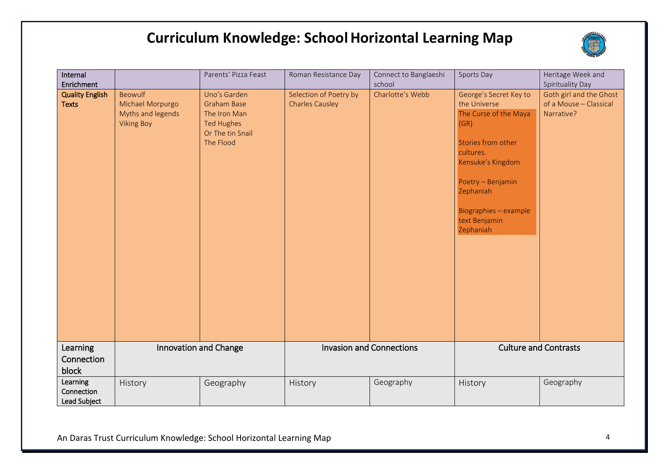

| Internal<br>Enrichment                 |                                                                       | Parents' Pizza Feast                                                                                     | Roman Resistance Day                             | Connect to Banglaeshi<br>school | Sports Day                                                                                                                                                                                                               | Heritage Week and<br>Spirituality Day                           |
|----------------------------------------|-----------------------------------------------------------------------|----------------------------------------------------------------------------------------------------------|--------------------------------------------------|---------------------------------|--------------------------------------------------------------------------------------------------------------------------------------------------------------------------------------------------------------------------|-----------------------------------------------------------------|
| <b>Quality English</b><br><b>Texts</b> | Beowulf<br>Michael Morpurgo<br>Myths and legends<br><b>Viking Boy</b> | Uno's Garden<br><b>Graham Base</b><br>The Iron Man<br><b>Ted Hughes</b><br>Or The tin Snail<br>The Flood | Selection of Poetry by<br><b>Charles Causley</b> | Charlotte's Webb                | George's Secret Key to<br>the Universe<br>The Curse of the Maya<br>(GR)<br>Stories from other<br>cultures.<br>Kensuke's Kingdom<br>Poetry - Benjamin<br>Zephaniah<br>Biographies - example<br>text Benjamin<br>Zephaniah | Goth girl and the Ghost<br>of a Mouse - Classical<br>Narrative? |
| Learning<br>Connection<br>block        | Innovation and Change                                                 |                                                                                                          |                                                  | <b>Invasion and Connections</b> |                                                                                                                                                                                                                          | <b>Culture and Contrasts</b>                                    |
| Learning<br>Connection<br>Lead Subject | History                                                               | Geography                                                                                                | History                                          | Geography                       | History                                                                                                                                                                                                                  | Geography                                                       |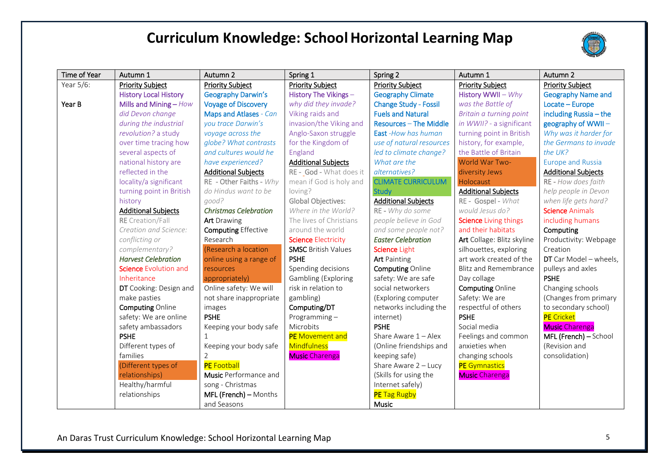

| Time of Year | Autumn 1                     | Autumn 2                     | Spring 1                   | Spring 2                      | Autumn 1                     | Autumn 2                   |
|--------------|------------------------------|------------------------------|----------------------------|-------------------------------|------------------------------|----------------------------|
| Year 5/6:    | <b>Priority Subject</b>      | <b>Priority Subject</b>      | <b>Priority Subject</b>    | <b>Priority Subject</b>       | <b>Priority Subject</b>      | <b>Priority Subject</b>    |
|              | <b>History Local History</b> | <b>Geography Darwin's</b>    | History The Vikings -      | <b>Geography Climate</b>      | History WWII - Why           | <b>Geography Name and</b>  |
| Year B       | Mills and Mining - How       | <b>Voyage of Discovery</b>   | why did they invade?       | <b>Change Study - Fossil</b>  | was the Battle of            | Locate - Europe            |
|              | did Devon change             | Maps and Atlases - Can       | Viking raids and           | <b>Fuels and Natural</b>      | Britain a turning point      | including Russia - the     |
|              | during the industrial        | you trace Darwin's           | invasion/the Viking and    | <b>Resources - The Middle</b> | in WWII? - a significant     | geography of WWII-         |
|              | revolution? a study          | voyage across the            | Anglo-Saxon struggle       | East-How has human            | turning point in British     | Why was it harder for      |
|              | over time tracing how        | globe? What contrasts        | for the Kingdom of         | use of natural resources      | history, for example,        | the Germans to invade      |
|              | several aspects of           | and cultures would he        | England                    | led to climate change?        | the Battle of Britain        | the $I/K$ ?                |
|              | national history are         | have experienced?            | <b>Additional Subjects</b> | What are the                  | World War Two-               | <b>Europe and Russia</b>   |
|              | reflected in the             | <b>Additional Subjects</b>   | RE - God - What does it    | alternatives?                 | diversity Jews               | <b>Additional Subjects</b> |
|              | locality/a significant       | RE - Other Faiths - Why      | mean if God is holy and    | <b>CLIMATE CURRICULUM</b>     | Holocaust                    | RE - How does faith        |
|              | turning point in British     | do Hindus want to be         | loving?                    | <b>Study</b>                  | <b>Additional Subjects</b>   | help people in Devon       |
|              | history                      | good?                        | <b>Global Objectives:</b>  | <b>Additional Subjects</b>    | RE - Gospel - What           | when life gets hard?       |
|              | <b>Additional Subjects</b>   | <b>Christmas Celebration</b> | Where in the World?        | RE - Why do some              | would Jesus do?              | <b>Science Animals</b>     |
|              | <b>RE</b> Creation/Fall      | <b>Art</b> Drawing           | The lives of Christians    | people believe in God         | <b>Science</b> Living things | including humans           |
|              | Creation and Science:        | <b>Computing Effective</b>   | around the world           | and some people not?          | and their habitats           | Computing                  |
|              | conflicting or               | Research                     | <b>Science Electricity</b> | <b>Easter Celebration</b>     | Art Collage: Blitz skyline   | Productivity: Webpage      |
|              | complementary?               | (Research a location         | <b>SMSC British Values</b> | Science Light                 | silhouettes, exploring       | Creation                   |
|              | <b>Harvest Celebration</b>   | online using a range of      | <b>PSHE</b>                | <b>Art</b> Painting           | art work created of the      | DT Car Model - wheels,     |
|              | <b>Science Evolution and</b> | resources                    | Spending decisions         | <b>Computing Online</b>       | <b>Blitz and Remembrance</b> | pulleys and axles          |
|              | Inheritance                  | appropriately)               | Gambling (Exploring        | safety: We are safe           | Day collage                  | <b>PSHE</b>                |
|              | DT Cooking: Design and       | Online safety: We will       | risk in relation to        | social networkers             | <b>Computing Online</b>      | Changing schools           |
|              | make pasties                 | not share inappropriate      | gambling)                  | (Exploring computer           | Safety: We are               | (Changes from primary      |
|              | <b>Computing Online</b>      | images                       | Computing/DT               | networks including the        | respectful of others         | to secondary school)       |
|              | safety: We are online        | <b>PSHE</b>                  | Programming $-$            | internet)                     | <b>PSHE</b>                  | <b>PE</b> Cricket          |
|              | safety ambassadors           | Keeping your body safe       | Microbits                  | <b>PSHE</b>                   | Social media                 | <b>Music</b> Charenga      |
|              | <b>PSHE</b>                  |                              | PE Movement and            | Share Aware $1 -$ Alex        | Feelings and common          | MFL (French) - School      |
|              | Different types of           | Keeping your body safe       | Mindfulness                | (Online friendships and       | anxieties when               | (Revision and              |
|              | families                     | 2                            | <b>Music Charenga</b>      | keeping safe)                 | changing schools             | consolidation)             |
|              | (Different types of          | <b>PE</b> Football           |                            | Share Aware 2 - Lucy          | <b>PE</b> Gymnastics         |                            |
|              | relationships)               | <b>Music</b> Performance and |                            | (Skills for using the         | <b>Music Charenga</b>        |                            |
|              | Healthy/harmful              | song - Christmas             |                            | Internet safely)              |                              |                            |
|              | relationships                | MFL (French) - Months        |                            | <b>PE</b> Tag Rugby           |                              |                            |
|              |                              | and Seasons                  |                            | Music                         |                              |                            |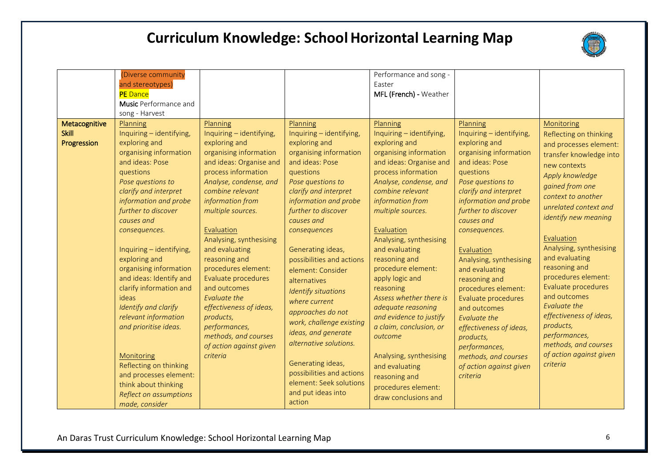

|                                              | (Diverse community<br>and stereotypes)<br><b>PE</b> Dance<br><b>Music</b> Performance and                                                                                                                                                                                                                                                                                                                                                                                                                                                       |                                                                                                                                                                                                                                                                                                                                                                                                                                                                                                            |                                                                                                                                                                                                                                                                                                                                                                                                                                                                                                                                | Performance and song -<br>Easter<br>MFL (French) - Weather                                                                                                                                                                                                                                                                                                                                                                                                                                                                                 |                                                                                                                                                                                                                                                                                                                                                                                                                                                                                                                                |                                                                                                                                                                                                                                                                                                                                                                                                                                                                                                          |
|----------------------------------------------|-------------------------------------------------------------------------------------------------------------------------------------------------------------------------------------------------------------------------------------------------------------------------------------------------------------------------------------------------------------------------------------------------------------------------------------------------------------------------------------------------------------------------------------------------|------------------------------------------------------------------------------------------------------------------------------------------------------------------------------------------------------------------------------------------------------------------------------------------------------------------------------------------------------------------------------------------------------------------------------------------------------------------------------------------------------------|--------------------------------------------------------------------------------------------------------------------------------------------------------------------------------------------------------------------------------------------------------------------------------------------------------------------------------------------------------------------------------------------------------------------------------------------------------------------------------------------------------------------------------|--------------------------------------------------------------------------------------------------------------------------------------------------------------------------------------------------------------------------------------------------------------------------------------------------------------------------------------------------------------------------------------------------------------------------------------------------------------------------------------------------------------------------------------------|--------------------------------------------------------------------------------------------------------------------------------------------------------------------------------------------------------------------------------------------------------------------------------------------------------------------------------------------------------------------------------------------------------------------------------------------------------------------------------------------------------------------------------|----------------------------------------------------------------------------------------------------------------------------------------------------------------------------------------------------------------------------------------------------------------------------------------------------------------------------------------------------------------------------------------------------------------------------------------------------------------------------------------------------------|
| Metacognitive<br><b>Skill</b><br>Progression | song - Harvest<br>Planning<br>Inquiring - identifying,<br>exploring and<br>organising information<br>and ideas: Pose<br>questions<br>Pose questions to<br>clarify and interpret<br>information and probe<br>further to discover<br>causes and<br>consequences.<br>Inquiring - identifying,<br>exploring and<br>organising information<br>and ideas: Identify and<br>clarify information and<br>ideas<br>Identify and clarify<br>relevant information<br>and prioritise ideas.<br>Monitoring<br>Reflecting on thinking<br>and processes element: | Planning<br>Inquiring - identifying,<br>exploring and<br>organising information<br>and ideas: Organise and<br>process information<br>Analyse, condense, and<br>combine relevant<br>information from<br>multiple sources.<br>Evaluation<br>Analysing, synthesising<br>and evaluating<br>reasoning and<br>procedures element:<br>Evaluate procedures<br>and outcomes<br>Evaluate the<br>effectiveness of ideas,<br>products,<br>performances,<br>methods, and courses<br>of action against given<br>criteria | Planning<br>Inquiring - identifying,<br>exploring and<br>organising information<br>and ideas: Pose<br>questions<br>Pose questions to<br>clarify and interpret<br>information and probe<br>further to discover<br>causes and<br>consequences<br>Generating ideas,<br>possibilities and actions<br>element: Consider<br>alternatives<br>Identify situations<br>where current<br>approaches do not<br>work, challenge existing<br>ideas, and generate<br>alternative solutions.<br>Generating ideas,<br>possibilities and actions | Planning<br>Inquiring - identifying,<br>exploring and<br>organising information<br>and ideas: Organise and<br>process information<br>Analyse, condense, and<br>combine relevant<br>information from<br>multiple sources.<br>Evaluation<br>Analysing, synthesising<br>and evaluating<br>reasoning and<br>procedure element:<br>apply logic and<br>reasoning<br>Assess whether there is<br>adequate reasoning<br>and evidence to justify<br>a claim, conclusion, or<br>outcome<br>Analysing, synthesising<br>and evaluating<br>reasoning and | Planning<br>Inquiring - identifying,<br>exploring and<br>organising information<br>and ideas: Pose<br>questions<br>Pose questions to<br>clarify and interpret<br>information and probe<br>further to discover<br>causes and<br>consequences.<br>Evaluation<br>Analysing, synthesising<br>and evaluating<br>reasoning and<br>procedures element:<br>Evaluate procedures<br>and outcomes<br>Evaluate the<br>effectiveness of ideas,<br>products,<br>performances,<br>methods, and courses<br>of action against given<br>criteria | Monitoring<br>Reflecting on thinking<br>and processes element:<br>transfer knowledge into<br>new contexts<br>Apply knowledge<br>gained from one<br>context to another<br>unrelated context and<br>identify new meaning<br>Evaluation<br>Analysing, synthesising<br>and evaluating<br>reasoning and<br>procedures element:<br>Evaluate procedures<br>and outcomes<br>Evaluate the<br>effectiveness of ideas,<br>products,<br>performances,<br>methods, and courses<br>of action against given<br>criteria |
|                                              | think about thinking<br>Reflect on assumptions<br>made, consider                                                                                                                                                                                                                                                                                                                                                                                                                                                                                |                                                                                                                                                                                                                                                                                                                                                                                                                                                                                                            | element: Seek solutions<br>and put ideas into<br>action                                                                                                                                                                                                                                                                                                                                                                                                                                                                        | procedures element:<br>draw conclusions and                                                                                                                                                                                                                                                                                                                                                                                                                                                                                                |                                                                                                                                                                                                                                                                                                                                                                                                                                                                                                                                |                                                                                                                                                                                                                                                                                                                                                                                                                                                                                                          |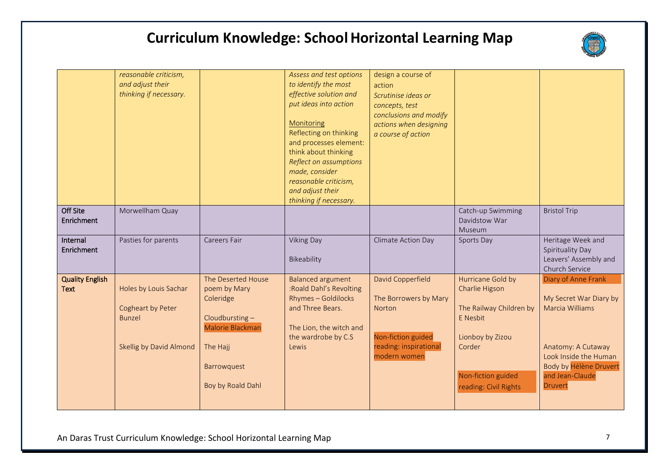

|                                       | reasonable criticism,<br>and adjust their<br>thinking if necessary.                    |                                                                                                                                       | Assess and test options<br>to identify the most<br>effective solution and<br>put ideas into action<br>Monitoring<br>Reflecting on thinking<br>and processes element:<br>think about thinking<br>Reflect on assumptions<br>made, consider<br>reasonable criticism,<br>and adjust their<br>thinking if necessary. | design a course of<br>action<br>Scrutinise ideas or<br>concepts, test<br>conclusions and modify<br>actions when designing<br>a course of action |                                                                                                                                                         |                                                                                                                                                                                |
|---------------------------------------|----------------------------------------------------------------------------------------|---------------------------------------------------------------------------------------------------------------------------------------|-----------------------------------------------------------------------------------------------------------------------------------------------------------------------------------------------------------------------------------------------------------------------------------------------------------------|-------------------------------------------------------------------------------------------------------------------------------------------------|---------------------------------------------------------------------------------------------------------------------------------------------------------|--------------------------------------------------------------------------------------------------------------------------------------------------------------------------------|
| Off Site<br>Enrichment                | Morwellham Quay                                                                        |                                                                                                                                       |                                                                                                                                                                                                                                                                                                                 |                                                                                                                                                 | Catch-up Swimming<br>Davidstow War<br>Museum                                                                                                            | <b>Bristol Trip</b>                                                                                                                                                            |
| Internal<br>Enrichment                | Pasties for parents                                                                    | Careers Fair                                                                                                                          | Viking Day<br>Bikeability                                                                                                                                                                                                                                                                                       | Climate Action Day                                                                                                                              | Sports Day                                                                                                                                              | Heritage Week and<br>Spirituality Day<br>Leavers' Assembly and<br>Church Service                                                                                               |
| <b>Quality English</b><br><b>Text</b> | Holes by Louis Sachar<br>Cogheart by Peter<br><b>Bunzel</b><br>Skellig by David Almond | The Deserted House<br>poem by Mary<br>Coleridge<br>Cloudbursting-<br>Malorie Blackman<br>The Hajj<br>Barrowquest<br>Boy by Roald Dahl | <b>Balanced argument</b><br>:Roald Dahl's Revolting<br><b>Rhymes - Goldilocks</b><br>and Three Bears.<br>The Lion, the witch and<br>the wardrobe by C.S<br>Lewis                                                                                                                                                | David Copperfield<br>The Borrowers by Mary<br><b>Norton</b><br>Non-fiction guided<br>reading: inspirational<br>modern women                     | Hurricane Gold by<br>Charlie Higson<br>The Railway Children by<br>E Nesbit<br>Lionboy by Zizou<br>Corder<br>Non-fiction guided<br>reading: Civil Rights | Diary of Anne Frank<br>My Secret War Diary by<br>Marcia Williams<br>Anatomy: A Cutaway<br>Look Inside the Human<br>Body by Hélène Druvert<br>and Jean-Claude<br><b>Druvert</b> |